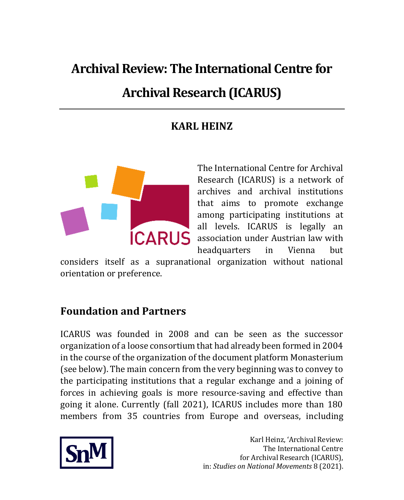# **Archival Review: The International Centre for**

# **Archival Research (ICARUS)**

# **KARL HEINZ**



The International Centre for Archival Research (ICARUS) is a network of archives and archival institutions that aims to promote exchange among participating institutions at all levels. ICARUS is legally an **ICARUS** association under Austrian law with headquarters in Vienna but

considers itself as a supranational organization without national orientation or preference.

# **Foundation and Partners**

ICARUS was founded in 2008 and can be seen as the successor organization of a loose consortium that had already been formed in 2004 in the course of the organization of the document platform Monasterium (see below). The main concern from the very beginning was to convey to the participating institutions that a regular exchange and a joining of forces in achieving goals is more resource-saving and effective than going it alone. Currently (fall 2021), ICARUS includes more than 180 members from 35 countries from Europe and overseas, including

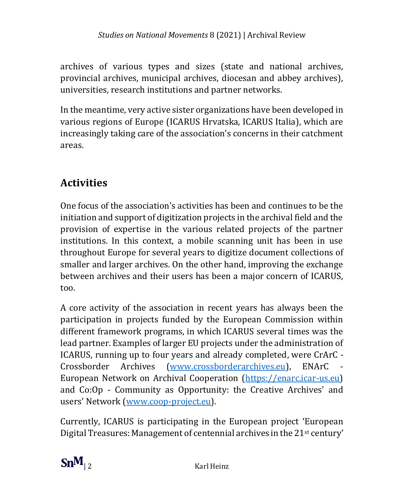archives of various types and sizes (state and national archives, provincial archives, municipal archives, diocesan and abbey archives), universities, research institutions and partner networks.

In the meantime, very active sister organizations have been developed in various regions of Europe (ICARUS Hrvatska, ICARUS Italia), which are increasingly taking care of the association's concerns in their catchment areas.

# **Activities**

One focus of the association's activities has been and continues to be the initiation and support of digitization projects in the archival field and the provision of expertise in the various related projects of the partner institutions. In this context, a mobile scanning unit has been in use throughout Europe for several years to digitize document collections of smaller and larger archives. On the other hand, improving the exchange between archives and their users has been a major concern of ICARUS, too.

A core activity of the association in recent years has always been the participation in projects funded by the European Commission within different framework programs, in which ICARUS several times was the lead partner. Examples of larger EU projects under the administration of ICARUS, running up to four years and already completed, were CrArC - Crossborder Archives [\(www.crossborderarchives.eu\)](http://www.crossborderarchives.eu/), ENArC - European Network on Archival Cooperation [\(https://enarc.icar-us.eu\)](https://enarc.icar-us.eu/) and Co:Op - Community as Opportunity: the Creative Archives' and users' Network [\(www.coop-project.eu\)](http://www.coop-project.eu/).

Currently, ICARUS is participating in the European project 'European Digital Treasures: Management of centennial archives in the 21st century'

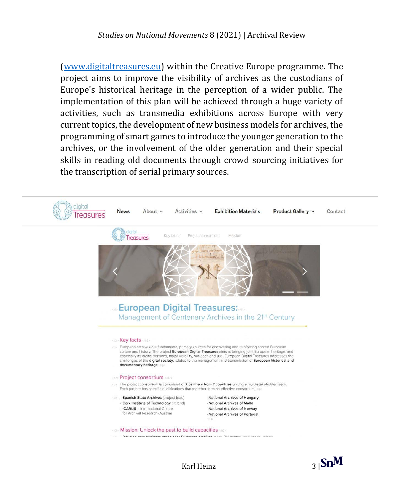[\(www.digitaltreasures.eu\)](http://www.digitaltreasures.eu/) within the Creative Europe programme. The project aims to improve the visibility of archives as the custodians of Europe's historical heritage in the perception of a wider public. The implementation of this plan will be achieved through a huge variety of activities, such as transmedia exhibitions across Europe with very current topics, the development of new business models for archives, the programming of smart games to introduce the younger generation to the archives, or the involvement of the older generation and their special skills in reading old documents through crowd sourcing initiatives for the transcription of serial primary sources.



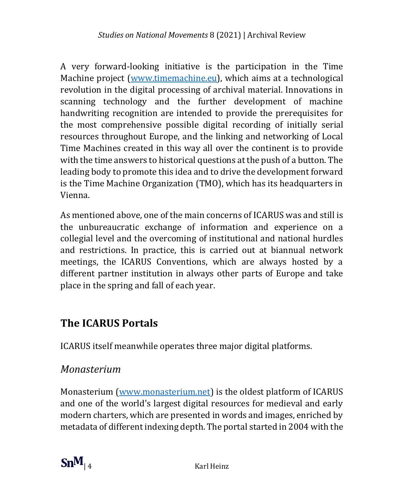A very forward-looking initiative is the participation in the Time Machine project [\(www.timemachine.eu\)](http://www.timemachine.eu/), which aims at a technological revolution in the digital processing of archival material. Innovations in scanning technology and the further development of machine handwriting recognition are intended to provide the prerequisites for the most comprehensive possible digital recording of initially serial resources throughout Europe, and the linking and networking of Local Time Machines created in this way all over the continent is to provide with the time answers to historical questions at the push of a button. The leading body to promote this idea and to drive the development forward is the Time Machine Organization (TMO), which has its headquarters in Vienna.

As mentioned above, one of the main concerns of ICARUS was and still is the unbureaucratic exchange of information and experience on a collegial level and the overcoming of institutional and national hurdles and restrictions. In practice, this is carried out at biannual network meetings, the ICARUS Conventions, which are always hosted by a different partner institution in always other parts of Europe and take place in the spring and fall of each year.

### **The ICARUS Portals**

ICARUS itself meanwhile operates three major digital platforms.

#### *Monasterium*

Monasterium [\(www.monasterium.net\)](http://www.monasterium.net/) is the oldest platform of ICARUS and one of the world's largest digital resources for medieval and early modern charters, which are presented in words and images, enriched by metadata of different indexing depth. The portal started in 2004 with the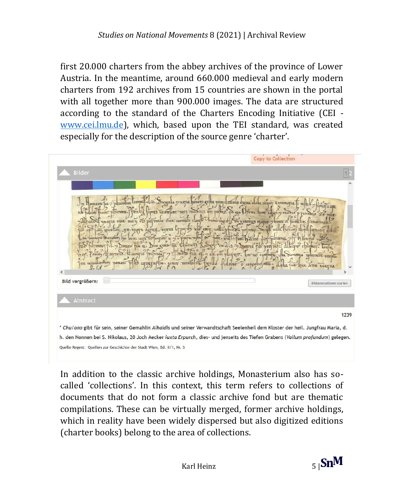first 20.000 charters from the abbey archives of the province of Lower Austria. In the meantime, around 660.000 medieval and early modern charters from 192 archives from 15 countries are shown in the portal with all together more than 900.000 images. The data are structured according to the standard of the Charters Encoding Initiative (CEI [www.cei.lmu.de\)](http://www.cei.lmu.de/), which, based upon the TEI standard, was created especially for the description of the source genre 'charter'.



In addition to the classic archive holdings, Monasterium also has socalled 'collections'. In this context, this term refers to collections of documents that do not form a classic archive fond but are thematic compilations. These can be virtually merged, former archive holdings, which in reality have been widely dispersed but also digitized editions (charter books) belong to the area of collections.

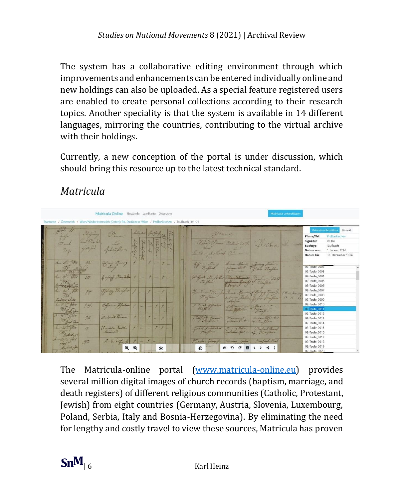The system has a collaborative editing environment through which improvements and enhancements can be entered individually online and new holdings can also be uploaded. As a special feature registered users are enabled to create personal collections according to their research topics. Another speciality is that the system is available in 14 different languages, mirroring the countries, contributing to the virtual archive with their holdings.

Currently, a new conception of the portal is under discussion, which should bring this resource up to the latest technical standard.

# *Matricula*



The Matricula-online portal [\(www.matricula-online.eu\)](http://www.matricula-online.eu/) provides several million digital images of church records (baptism, marriage, and death registers) of different religious communities (Catholic, Protestant, Jewish) from eight countries (Germany, Austria, Slovenia, Luxembourg, Poland, Serbia, Italy and Bosnia-Herzegovina). By eliminating the need for lengthy and costly travel to view these sources, Matricula has proven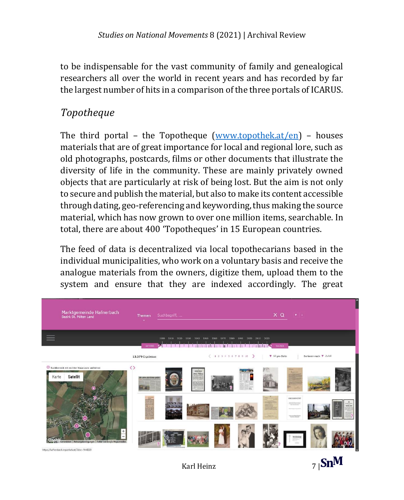to be indispensable for the vast community of family and genealogical researchers all over the world in recent years and has recorded by far the largest number of hits in a comparison of the three portals of ICARUS.

#### *Topotheque*

The third portal – the Topotheque [\(www.topothek.at/en\)](http://www.topothek.at/en) – houses materials that are of great importance for local and regional lore, such as old photographs, postcards, films or other documents that illustrate the diversity of life in the community. These are mainly privately owned objects that are particularly at risk of being lost. But the aim is not only to secure and publish the material, but also to make its content accessible through dating, geo-referencing and keywording, thus making the source material, which has now grown to over one million items, searchable. In total, there are about 400 'Topotheques' in 15 European countries.

The feed of data is decentralized via local topothecarians based in the individual municipalities, who work on a voluntary basis and receive the analogue materials from the owners, digitize them, upload them to the system and ensure that they are indexed accordingly. The great



Karl Heinz  $\overline{7}$  |  $\text{Sn}^{\text{M}}$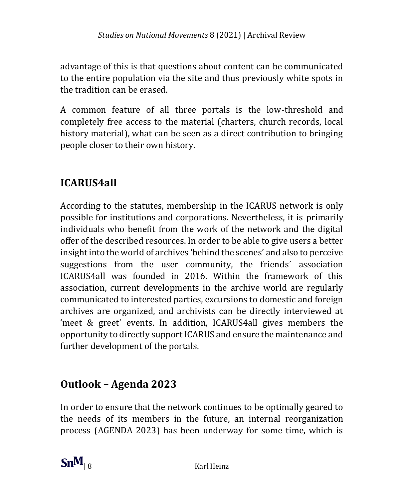advantage of this is that questions about content can be communicated to the entire population via the site and thus previously white spots in the tradition can be erased.

A common feature of all three portals is the low-threshold and completely free access to the material (charters, church records, local history material), what can be seen as a direct contribution to bringing people closer to their own history.

# **ICARUS4all**

According to the statutes, membership in the ICARUS network is only possible for institutions and corporations. Nevertheless, it is primarily individuals who benefit from the work of the network and the digital offer of the described resources. In order to be able to give users a better insight into the world of archives 'behind the scenes' and also to perceive suggestions from the user community, the friends´ association ICARUS4all was founded in 2016. Within the framework of this association, current developments in the archive world are regularly communicated to interested parties, excursions to domestic and foreign archives are organized, and archivists can be directly interviewed at 'meet & greet' events. In addition, ICARUS4all gives members the opportunity to directly support ICARUS and ensure the maintenance and further development of the portals.

# **Outlook – Agenda 2023**

In order to ensure that the network continues to be optimally geared to the needs of its members in the future, an internal reorganization process (AGENDA 2023) has been underway for some time, which is